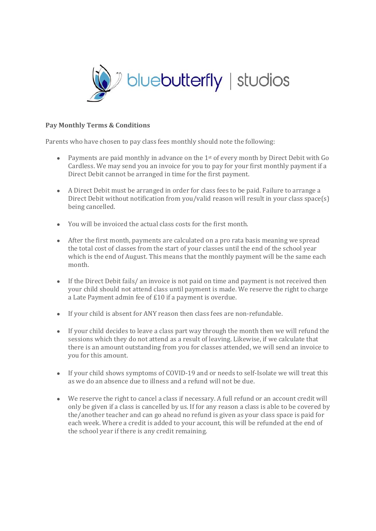

## **Pay Monthly Terms & Conditions**

Parents who have chosen to pay class fees monthly should note the following:

- Payments are paid monthly in advance on the  $1<sup>st</sup>$  of every month by Direct Debit with Go Cardless. We may send you an invoice for you to pay for your first monthly payment if a Direct Debit cannot be arranged in time for the first payment.
- A Direct Debit must be arranged in order for class fees to be paid. Failure to arrange a Direct Debit without notification from you/valid reason will result in your class space(s) being cancelled.
- You will be invoiced the actual class costs for the first month.
- After the first month, payments are calculated on a pro rata basis meaning we spread the total cost of classes from the start of your classes until the end of the school year which is the end of August. This means that the monthly payment will be the same each month.
- If the Direct Debit fails/ an invoice is not paid on time and payment is not received then your child should not attend class until payment is made. We reserve the right to charge a Late Payment admin fee of £10 if a payment is overdue.
- If your child is absent for ANY reason then class fees are non-refundable.
- If your child decides to leave a class part way through the month then we will refund the sessions which they do not attend as a result of leaving. Likewise, if we calculate that there is an amount outstanding from you for classes attended, we will send an invoice to you for this amount.
- If your child shows symptoms of COVID-19 and or needs to self-Isolate we will treat this as we do an absence due to illness and a refund will not be due.
- We reserve the right to cancel a class if necessary. A full refund or an account credit will only be given if a class is cancelled by us. If for any reason a class is able to be covered by the/another teacher and can go ahead no refund is given as your class space is paid for each week. Where a credit is added to your account, this will be refunded at the end of the school year if there is any credit remaining.